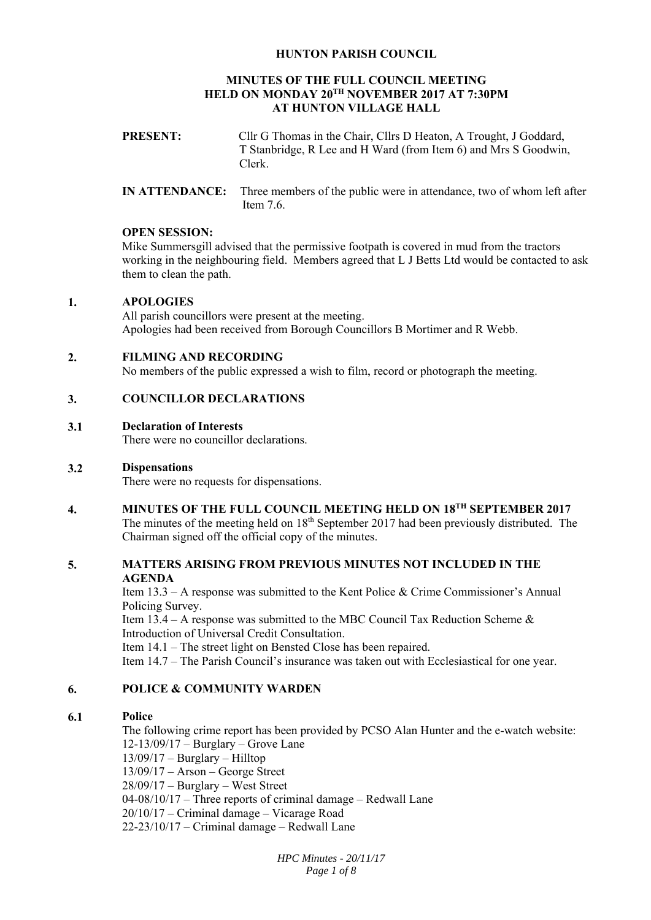# **HUNTON PARISH COUNCIL**

# **MINUTES OF THE FULL COUNCIL MEETING HELD ON MONDAY 20TH NOVEMBER 2017 AT 7:30PM AT HUNTON VILLAGE HALL**

| <b>PRESENT:</b> | Cllr G Thomas in the Chair, Cllrs D Heaton, A Trought, J Goddard, |
|-----------------|-------------------------------------------------------------------|
|                 | T Stanbridge, R Lee and H Ward (from Item 6) and Mrs S Goodwin,   |
|                 | Clerk.                                                            |
|                 |                                                                   |

**IN ATTENDANCE:** Three members of the public were in attendance, two of whom left after Item 7.6.

# **OPEN SESSION:**

Mike Summersgill advised that the permissive footpath is covered in mud from the tractors working in the neighbouring field. Members agreed that L J Betts Ltd would be contacted to ask them to clean the path.

#### **1. APOLOGIES**

All parish councillors were present at the meeting. Apologies had been received from Borough Councillors B Mortimer and R Webb.

#### **2. FILMING AND RECORDING**

No members of the public expressed a wish to film, record or photograph the meeting.

#### **3. COUNCILLOR DECLARATIONS**

#### **3.1 Declaration of Interests**

There were no councillor declarations.

#### **3.2 Dispensations**

There were no requests for dispensations.

**4. MINUTES OF THE FULL COUNCIL MEETING HELD ON 18TH SEPTEMBER 2017**  The minutes of the meeting held on  $18<sup>th</sup>$  September 2017 had been previously distributed. The Chairman signed off the official copy of the minutes.

# **5. MATTERS ARISING FROM PREVIOUS MINUTES NOT INCLUDED IN THE AGENDA**

Item 13.3 – A response was submitted to the Kent Police & Crime Commissioner's Annual Policing Survey.

Item  $13.4 - A$  response was submitted to the MBC Council Tax Reduction Scheme & Introduction of Universal Credit Consultation.

Item 14.1 – The street light on Bensted Close has been repaired.

Item 14.7 – The Parish Council's insurance was taken out with Ecclesiastical for one year.

# **6. POLICE & COMMUNITY WARDEN**

# **6.1 Police**

The following crime report has been provided by PCSO Alan Hunter and the e-watch website: 12-13/09/17 – Burglary – Grove Lane 13/09/17 – Burglary – Hilltop 13/09/17 – Arson – George Street 28/09/17 – Burglary – West Street  $04-08/10/17$  – Three reports of criminal damage – Redwall Lane 20/10/17 – Criminal damage – Vicarage Road 22-23/10/17 – Criminal damage – Redwall Lane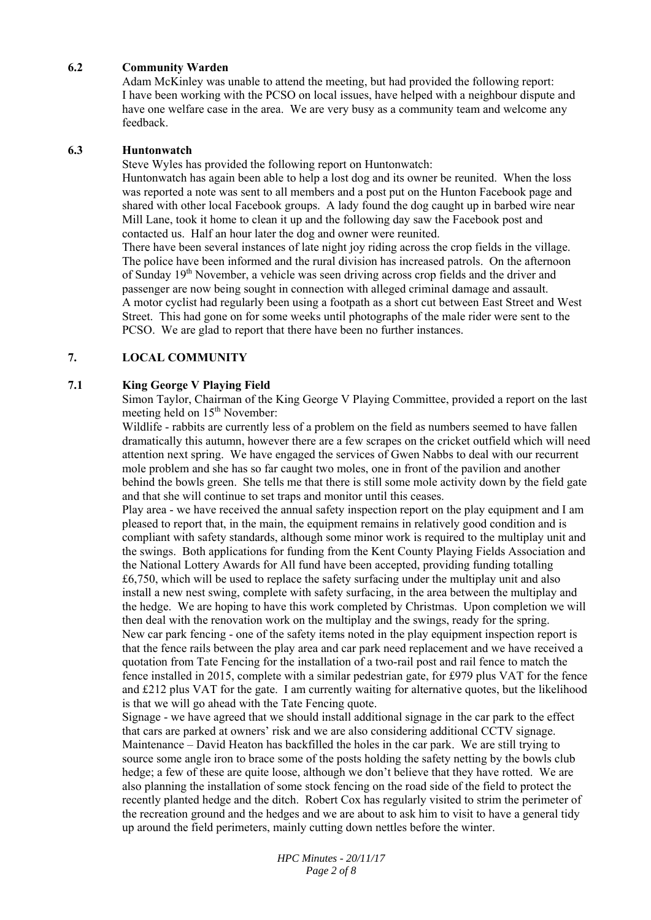# **6.2 Community Warden**

Adam McKinley was unable to attend the meeting, but had provided the following report: I have been working with the PCSO on local issues, have helped with a neighbour dispute and have one welfare case in the area. We are very busy as a community team and welcome any feedback.

#### **6.3 Huntonwatch**

Steve Wyles has provided the following report on Huntonwatch:

Huntonwatch has again been able to help a lost dog and its owner be reunited. When the loss was reported a note was sent to all members and a post put on the Hunton Facebook page and shared with other local Facebook groups. A lady found the dog caught up in barbed wire near Mill Lane, took it home to clean it up and the following day saw the Facebook post and contacted us. Half an hour later the dog and owner were reunited.

There have been several instances of late night joy riding across the crop fields in the village. The police have been informed and the rural division has increased patrols. On the afternoon of Sunday 19<sup>th</sup> November, a vehicle was seen driving across crop fields and the driver and passenger are now being sought in connection with alleged criminal damage and assault. A motor cyclist had regularly been using a footpath as a short cut between East Street and West Street. This had gone on for some weeks until photographs of the male rider were sent to the PCSO. We are glad to report that there have been no further instances.

# **7. LOCAL COMMUNITY**

#### **7.1 King George V Playing Field**

Simon Taylor, Chairman of the King George V Playing Committee, provided a report on the last meeting held on 15<sup>th</sup> November:

Wildlife - rabbits are currently less of a problem on the field as numbers seemed to have fallen dramatically this autumn, however there are a few scrapes on the cricket outfield which will need attention next spring. We have engaged the services of Gwen Nabbs to deal with our recurrent mole problem and she has so far caught two moles, one in front of the pavilion and another behind the bowls green. She tells me that there is still some mole activity down by the field gate and that she will continue to set traps and monitor until this ceases.

Play area - we have received the annual safety inspection report on the play equipment and I am pleased to report that, in the main, the equipment remains in relatively good condition and is compliant with safety standards, although some minor work is required to the multiplay unit and the swings. Both applications for funding from the Kent County Playing Fields Association and the National Lottery Awards for All fund have been accepted, providing funding totalling £6,750, which will be used to replace the safety surfacing under the multiplay unit and also install a new nest swing, complete with safety surfacing, in the area between the multiplay and the hedge. We are hoping to have this work completed by Christmas. Upon completion we will then deal with the renovation work on the multiplay and the swings, ready for the spring. New car park fencing - one of the safety items noted in the play equipment inspection report is that the fence rails between the play area and car park need replacement and we have received a quotation from Tate Fencing for the installation of a two-rail post and rail fence to match the fence installed in 2015, complete with a similar pedestrian gate, for £979 plus VAT for the fence and £212 plus VAT for the gate. I am currently waiting for alternative quotes, but the likelihood is that we will go ahead with the Tate Fencing quote.

Signage - we have agreed that we should install additional signage in the car park to the effect that cars are parked at owners' risk and we are also considering additional CCTV signage. Maintenance – David Heaton has backfilled the holes in the car park. We are still trying to source some angle iron to brace some of the posts holding the safety netting by the bowls club hedge; a few of these are quite loose, although we don't believe that they have rotted. We are also planning the installation of some stock fencing on the road side of the field to protect the recently planted hedge and the ditch. Robert Cox has regularly visited to strim the perimeter of the recreation ground and the hedges and we are about to ask him to visit to have a general tidy up around the field perimeters, mainly cutting down nettles before the winter.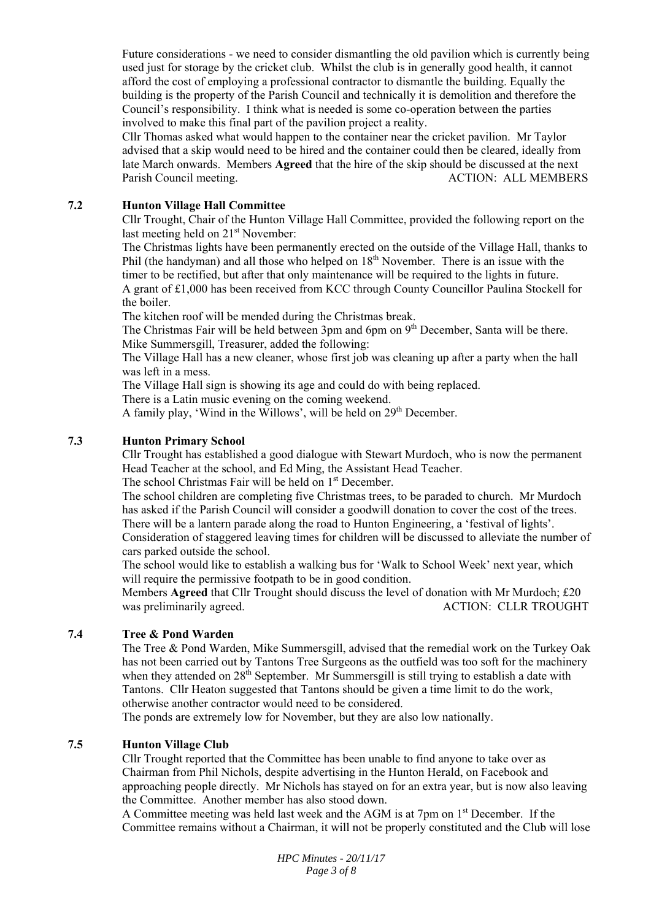Future considerations - we need to consider dismantling the old pavilion which is currently being used just for storage by the cricket club. Whilst the club is in generally good health, it cannot afford the cost of employing a professional contractor to dismantle the building. Equally the building is the property of the Parish Council and technically it is demolition and therefore the Council's responsibility. I think what is needed is some co-operation between the parties involved to make this final part of the pavilion project a reality.

Cllr Thomas asked what would happen to the container near the cricket pavilion. Mr Taylor advised that a skip would need to be hired and the container could then be cleared, ideally from late March onwards. Members **Agreed** that the hire of the skip should be discussed at the next Parish Council meeting. The council meeting and the council meeting.

#### **7.2 Hunton Village Hall Committee**

Cllr Trought, Chair of the Hunton Village Hall Committee, provided the following report on the last meeting held on 21<sup>st</sup> November:

The Christmas lights have been permanently erected on the outside of the Village Hall, thanks to Phil (the handyman) and all those who helped on  $18<sup>th</sup>$  November. There is an issue with the timer to be rectified, but after that only maintenance will be required to the lights in future. A grant of £1,000 has been received from KCC through County Councillor Paulina Stockell for the boiler.

The kitchen roof will be mended during the Christmas break.

The Christmas Fair will be held between 3pm and 6pm on 9<sup>th</sup> December, Santa will be there. Mike Summersgill, Treasurer, added the following:

The Village Hall has a new cleaner, whose first job was cleaning up after a party when the hall was left in a mess.

The Village Hall sign is showing its age and could do with being replaced.

There is a Latin music evening on the coming weekend.

A family play, 'Wind in the Willows', will be held on  $29<sup>th</sup>$  December.

# **7.3 Hunton Primary School**

Cllr Trought has established a good dialogue with Stewart Murdoch, who is now the permanent Head Teacher at the school, and Ed Ming, the Assistant Head Teacher.

The school Christmas Fair will be held on 1<sup>st</sup> December.

The school children are completing five Christmas trees, to be paraded to church. Mr Murdoch has asked if the Parish Council will consider a goodwill donation to cover the cost of the trees. There will be a lantern parade along the road to Hunton Engineering, a 'festival of lights'.

Consideration of staggered leaving times for children will be discussed to alleviate the number of cars parked outside the school.

The school would like to establish a walking bus for 'Walk to School Week' next year, which will require the permissive footpath to be in good condition.

Members **Agreed** that Cllr Trought should discuss the level of donation with Mr Murdoch; £20 was preliminarily agreed. ACTION: CLLR TROUGHT

# **7.4 Tree & Pond Warden**

The Tree & Pond Warden, Mike Summersgill, advised that the remedial work on the Turkey Oak has not been carried out by Tantons Tree Surgeons as the outfield was too soft for the machinery when they attended on  $28<sup>th</sup>$  September. Mr Summersgill is still trying to establish a date with Tantons. Cllr Heaton suggested that Tantons should be given a time limit to do the work, otherwise another contractor would need to be considered.

The ponds are extremely low for November, but they are also low nationally.

# **7.5 Hunton Village Club**

Cllr Trought reported that the Committee has been unable to find anyone to take over as Chairman from Phil Nichols, despite advertising in the Hunton Herald, on Facebook and approaching people directly. Mr Nichols has stayed on for an extra year, but is now also leaving the Committee. Another member has also stood down.

A Committee meeting was held last week and the AGM is at 7pm on 1st December. If the Committee remains without a Chairman, it will not be properly constituted and the Club will lose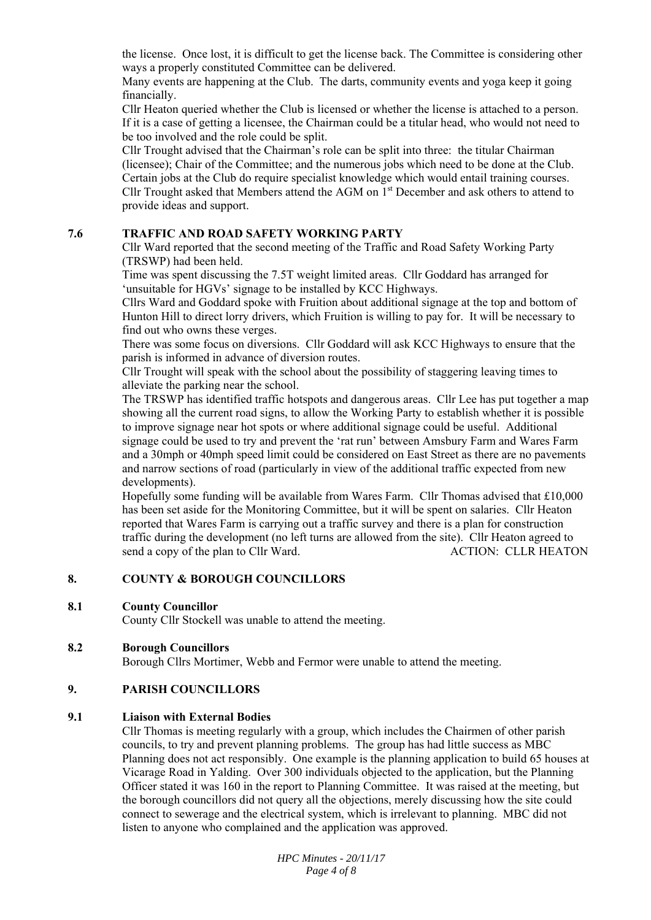the license. Once lost, it is difficult to get the license back. The Committee is considering other ways a properly constituted Committee can be delivered.

Many events are happening at the Club. The darts, community events and yoga keep it going financially.

Cllr Heaton queried whether the Club is licensed or whether the license is attached to a person. If it is a case of getting a licensee, the Chairman could be a titular head, who would not need to be too involved and the role could be split.

Cllr Trought advised that the Chairman's role can be split into three: the titular Chairman (licensee); Chair of the Committee; and the numerous jobs which need to be done at the Club. Certain jobs at the Club do require specialist knowledge which would entail training courses. Cllr Trought asked that Members attend the AGM on 1st December and ask others to attend to provide ideas and support.

#### **7.6 TRAFFIC AND ROAD SAFETY WORKING PARTY**

Cllr Ward reported that the second meeting of the Traffic and Road Safety Working Party (TRSWP) had been held.

Time was spent discussing the 7.5T weight limited areas. Cllr Goddard has arranged for 'unsuitable for HGVs' signage to be installed by KCC Highways.

Cllrs Ward and Goddard spoke with Fruition about additional signage at the top and bottom of Hunton Hill to direct lorry drivers, which Fruition is willing to pay for. It will be necessary to find out who owns these verges.

There was some focus on diversions. Cllr Goddard will ask KCC Highways to ensure that the parish is informed in advance of diversion routes.

Cllr Trought will speak with the school about the possibility of staggering leaving times to alleviate the parking near the school.

The TRSWP has identified traffic hotspots and dangerous areas. Cllr Lee has put together a map showing all the current road signs, to allow the Working Party to establish whether it is possible to improve signage near hot spots or where additional signage could be useful. Additional signage could be used to try and prevent the 'rat run' between Amsbury Farm and Wares Farm and a 30mph or 40mph speed limit could be considered on East Street as there are no pavements and narrow sections of road (particularly in view of the additional traffic expected from new developments).

Hopefully some funding will be available from Wares Farm. Cllr Thomas advised that £10,000 has been set aside for the Monitoring Committee, but it will be spent on salaries. Cllr Heaton reported that Wares Farm is carrying out a traffic survey and there is a plan for construction traffic during the development (no left turns are allowed from the site). Cllr Heaton agreed to send a copy of the plan to Cllr Ward. ACTION: CLLR HEATON

#### **8. COUNTY & BOROUGH COUNCILLORS**

#### **8.1 County Councillor**

County Cllr Stockell was unable to attend the meeting.

# **8.2 Borough Councillors**

Borough Cllrs Mortimer, Webb and Fermor were unable to attend the meeting.

# **9. PARISH COUNCILLORS**

#### **9.1 Liaison with External Bodies**

Cllr Thomas is meeting regularly with a group, which includes the Chairmen of other parish councils, to try and prevent planning problems. The group has had little success as MBC Planning does not act responsibly. One example is the planning application to build 65 houses at Vicarage Road in Yalding. Over 300 individuals objected to the application, but the Planning Officer stated it was 160 in the report to Planning Committee. It was raised at the meeting, but the borough councillors did not query all the objections, merely discussing how the site could connect to sewerage and the electrical system, which is irrelevant to planning. MBC did not listen to anyone who complained and the application was approved.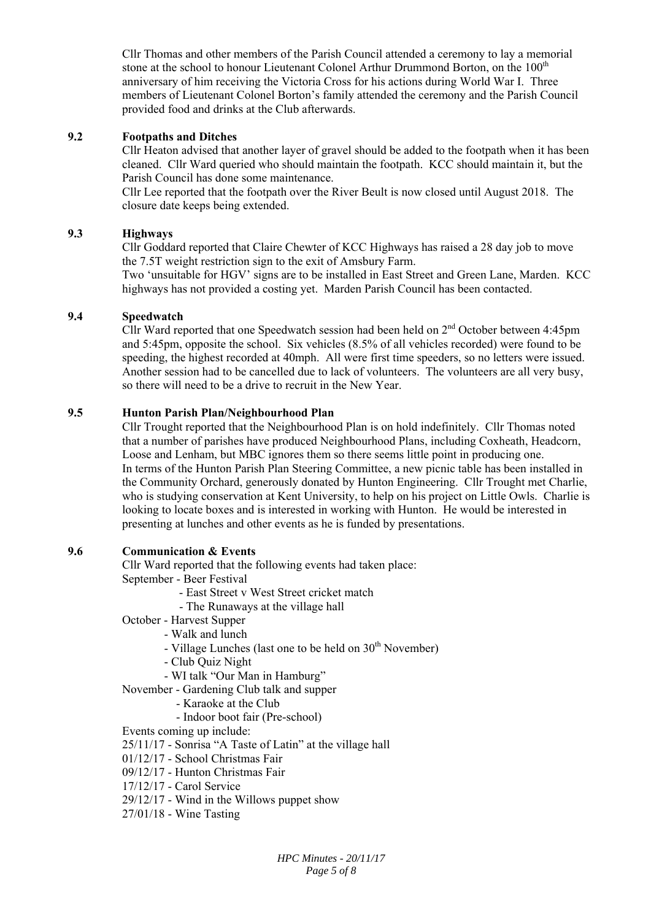Cllr Thomas and other members of the Parish Council attended a ceremony to lay a memorial stone at the school to honour Lieutenant Colonel Arthur Drummond Borton, on the 100<sup>th</sup> anniversary of him receiving the Victoria Cross for his actions during World War I. Three members of Lieutenant Colonel Borton's family attended the ceremony and the Parish Council provided food and drinks at the Club afterwards.

# **9.2 Footpaths and Ditches**

Cllr Heaton advised that another layer of gravel should be added to the footpath when it has been cleaned. Cllr Ward queried who should maintain the footpath. KCC should maintain it, but the Parish Council has done some maintenance.

Cllr Lee reported that the footpath over the River Beult is now closed until August 2018. The closure date keeps being extended.

#### **9.3 Highways**

Cllr Goddard reported that Claire Chewter of KCC Highways has raised a 28 day job to move the 7.5T weight restriction sign to the exit of Amsbury Farm.

Two 'unsuitable for HGV' signs are to be installed in East Street and Green Lane, Marden. KCC highways has not provided a costing yet. Marden Parish Council has been contacted.

#### **9.4 Speedwatch**

Cllr Ward reported that one Speedwatch session had been held on  $2<sup>nd</sup>$  October between 4:45pm and 5:45pm, opposite the school. Six vehicles (8.5% of all vehicles recorded) were found to be speeding, the highest recorded at 40mph. All were first time speeders, so no letters were issued. Another session had to be cancelled due to lack of volunteers. The volunteers are all very busy, so there will need to be a drive to recruit in the New Year.

#### **9.5 Hunton Parish Plan/Neighbourhood Plan**

Cllr Trought reported that the Neighbourhood Plan is on hold indefinitely. Cllr Thomas noted that a number of parishes have produced Neighbourhood Plans, including Coxheath, Headcorn, Loose and Lenham, but MBC ignores them so there seems little point in producing one. In terms of the Hunton Parish Plan Steering Committee, a new picnic table has been installed in the Community Orchard, generously donated by Hunton Engineering. Cllr Trought met Charlie, who is studying conservation at Kent University, to help on his project on Little Owls. Charlie is looking to locate boxes and is interested in working with Hunton. He would be interested in presenting at lunches and other events as he is funded by presentations.

# **9.6 Communication & Events**

Cllr Ward reported that the following events had taken place: September - Beer Festival

- East Street v West Street cricket match
- The Runaways at the village hall
- October Harvest Supper
	- Walk and lunch
	- Village Lunches (last one to be held on  $30<sup>th</sup>$  November)
	- Club Quiz Night
	- WI talk "Our Man in Hamburg"

November - Gardening Club talk and supper

- Karaoke at the Club
	- Indoor boot fair (Pre-school)

Events coming up include:

25/11/17 - Sonrisa "A Taste of Latin" at the village hall

01/12/17 - School Christmas Fair

- 09/12/17 Hunton Christmas Fair
- 17/12/17 Carol Service
- 29/12/17 Wind in the Willows puppet show
- 27/01/18 Wine Tasting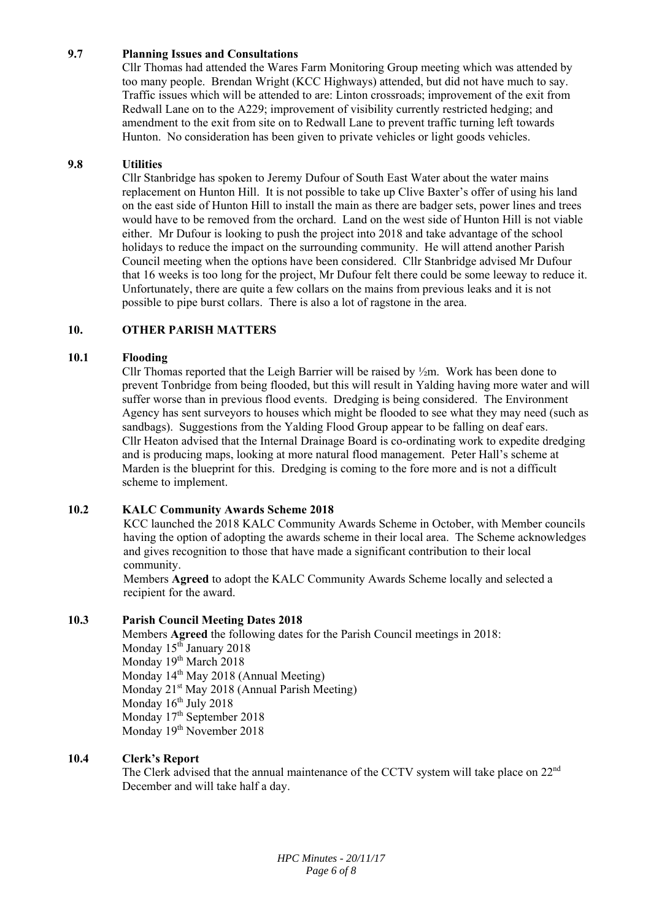# **9.7 Planning Issues and Consultations**

Cllr Thomas had attended the Wares Farm Monitoring Group meeting which was attended by too many people. Brendan Wright (KCC Highways) attended, but did not have much to say. Traffic issues which will be attended to are: Linton crossroads; improvement of the exit from Redwall Lane on to the A229; improvement of visibility currently restricted hedging; and amendment to the exit from site on to Redwall Lane to prevent traffic turning left towards Hunton. No consideration has been given to private vehicles or light goods vehicles.

# **9.8 Utilities**

Cllr Stanbridge has spoken to Jeremy Dufour of South East Water about the water mains replacement on Hunton Hill. It is not possible to take up Clive Baxter's offer of using his land on the east side of Hunton Hill to install the main as there are badger sets, power lines and trees would have to be removed from the orchard. Land on the west side of Hunton Hill is not viable either. Mr Dufour is looking to push the project into 2018 and take advantage of the school holidays to reduce the impact on the surrounding community. He will attend another Parish Council meeting when the options have been considered. Cllr Stanbridge advised Mr Dufour that 16 weeks is too long for the project, Mr Dufour felt there could be some leeway to reduce it. Unfortunately, there are quite a few collars on the mains from previous leaks and it is not possible to pipe burst collars. There is also a lot of ragstone in the area.

# **10. OTHER PARISH MATTERS**

#### **10.1 Flooding**

Cllr Thomas reported that the Leigh Barrier will be raised by  $\frac{1}{2}$ m. Work has been done to prevent Tonbridge from being flooded, but this will result in Yalding having more water and will suffer worse than in previous flood events. Dredging is being considered. The Environment Agency has sent surveyors to houses which might be flooded to see what they may need (such as sandbags). Suggestions from the Yalding Flood Group appear to be falling on deaf ears. Cllr Heaton advised that the Internal Drainage Board is co-ordinating work to expedite dredging and is producing maps, looking at more natural flood management. Peter Hall's scheme at Marden is the blueprint for this. Dredging is coming to the fore more and is not a difficult scheme to implement.

# **10.2 KALC Community Awards Scheme 2018**

KCC launched the 2018 KALC Community Awards Scheme in October, with Member councils having the option of adopting the awards scheme in their local area. The Scheme acknowledges and gives recognition to those that have made a significant contribution to their local community.

Members **Agreed** to adopt the KALC Community Awards Scheme locally and selected a recipient for the award.

# **10.3 Parish Council Meeting Dates 2018**

Members **Agreed** the following dates for the Parish Council meetings in 2018: Monday 15<sup>th</sup> January 2018 Monday 19<sup>th</sup> March 2018 Monday 14<sup>th</sup> May 2018 (Annual Meeting) Monday  $21<sup>st</sup>$  May 2018 (Annual Parish Meeting) Monday 16<sup>th</sup> July 2018 Monday  $17<sup>th</sup>$  September 2018 Monday 19<sup>th</sup> November 2018

# **10.4 Clerk's Report**

The Clerk advised that the annual maintenance of the CCTV system will take place on  $22<sup>nd</sup>$ December and will take half a day.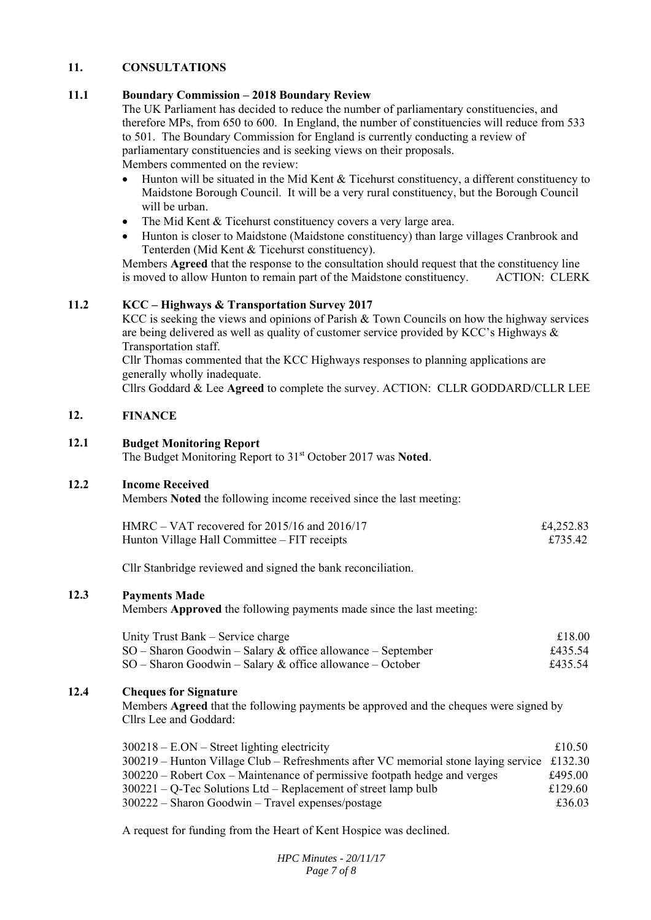#### **11. CONSULTATIONS**

#### **11.1 Boundary Commission – 2018 Boundary Review**

The UK Parliament has decided to reduce the number of parliamentary constituencies, and therefore MPs, from 650 to 600. In England, the number of constituencies will reduce from 533 to 501. The Boundary Commission for England is currently conducting a review of parliamentary constituencies and is seeking views on their proposals. Members commented on the review:

- Hunton will be situated in the Mid Kent & Ticehurst constituency, a different constituency to Maidstone Borough Council. It will be a very rural constituency, but the Borough Council will be urban.
- The Mid Kent & Ticehurst constituency covers a very large area.
- Hunton is closer to Maidstone (Maidstone constituency) than large villages Cranbrook and Tenterden (Mid Kent & Ticehurst constituency).

Members **Agreed** that the response to the consultation should request that the constituency line is moved to allow Hunton to remain part of the Maidstone constituency. ACTION: CLERK

#### **11.2 KCC – Highways & Transportation Survey 2017**

KCC is seeking the views and opinions of Parish & Town Councils on how the highway services are being delivered as well as quality of customer service provided by KCC's Highways & Transportation staff.

Cllr Thomas commented that the KCC Highways responses to planning applications are generally wholly inadequate.

Cllrs Goddard & Lee **Agreed** to complete the survey. ACTION: CLLR GODDARD/CLLR LEE

#### **12. FINANCE**

#### **12.1 Budget Monitoring Report**

The Budget Monitoring Report to 31st October 2017 was **Noted**.

#### **12.2 Income Received**

Members **Noted** the following income received since the last meeting:

| $HMRC - VAT$ recovered for 2015/16 and 2016/17 | £4,252.83 |
|------------------------------------------------|-----------|
| Hunton Village Hall Committee – FIT receipts   | £735.42   |

Cllr Stanbridge reviewed and signed the bank reconciliation.

#### **12.3 Payments Made**

Members **Approved** the following payments made since the last meeting:

| Unity Trust Bank – Service charge                             | £18.00  |
|---------------------------------------------------------------|---------|
| $SO -$ Sharon Goodwin – Salary & office allowance – September | £435.54 |
| $SO -$ Sharon Goodwin – Salary & office allowance – October   | £435.54 |

# **12.4 Cheques for Signature**

Members **Agreed** that the following payments be approved and the cheques were signed by Cllrs Lee and Goddard:

| $300218 - EON - Street lighting electricity$                                                 | £10.50  |
|----------------------------------------------------------------------------------------------|---------|
| $300219$ – Hunton Village Club – Refreshments after VC memorial stone laying service £132.30 |         |
| $300220$ – Robert Cox – Maintenance of permissive footpath hedge and verges                  | £495.00 |
| $300221 - Q$ -Tec Solutions Ltd – Replacement of street lamp bulb                            | £129.60 |
| $300222$ – Sharon Goodwin – Travel expenses/postage                                          | £36.03  |

A request for funding from the Heart of Kent Hospice was declined.